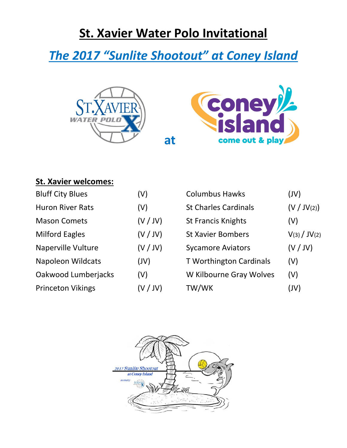## **St. Xavier Water Polo Invitational**

# *The 2017 "Sunlite Shootout" at Coney Island*





### **St. Xavier welcomes:**

| <b>Bluff City Blues</b>   | (V)      | <b>Columbus Hawks</b>          | (JV)         |
|---------------------------|----------|--------------------------------|--------------|
| <b>Huron River Rats</b>   | (V)      | <b>St Charles Cardinals</b>    | (V / JV(2))  |
| <b>Mason Comets</b>       | (V / JV) | <b>St Francis Knights</b>      | (V)          |
| <b>Milford Eagles</b>     | (V / JV) | <b>St Xavier Bombers</b>       | V(3) / JV(2) |
| <b>Naperville Vulture</b> | (V / JV) | <b>Sycamore Aviators</b>       | (V / JV)     |
| <b>Napoleon Wildcats</b>  | (VV)     | <b>T Worthington Cardinals</b> | (V)          |
| Oakwood Lumberjacks       | (V)      | W Kilbourne Gray Wolves        | (V)          |
| <b>Princeton Vikings</b>  | (V / JV) | TW/WK                          | (UV)         |
|                           |          |                                |              |

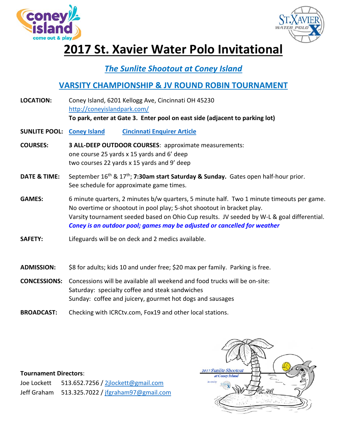



## **2017 St. Xavier Water Polo Invitational**

### *The Sunlite Shootout at Coney Island*

### **VARSITY CHAMPIONSHIP & JV ROUND ROBIN TOURNAMENT**

| <b>LOCATION:</b>        | Coney Island, 6201 Kellogg Ave, Cincinnati OH 45230<br>http://coneyislandpark.com/<br>To park, enter at Gate 3. Enter pool on east side (adjacent to parking lot)                                                                                                                                                                             |
|-------------------------|-----------------------------------------------------------------------------------------------------------------------------------------------------------------------------------------------------------------------------------------------------------------------------------------------------------------------------------------------|
| <b>SUNLITE POOL:</b>    | <b>Coney Island</b><br><b>Cincinnati Enquirer Article</b>                                                                                                                                                                                                                                                                                     |
| <b>COURSES:</b>         | 3 ALL-DEEP OUTDOOR COURSES: approximate measurements:<br>one course 25 yards x 15 yards and 6' deep<br>two courses 22 yards x 15 yards and 9' deep                                                                                                                                                                                            |
| <b>DATE &amp; TIME:</b> | September 16th & 17th; 7:30am start Saturday & Sunday. Gates open half-hour prior.<br>See schedule for approximate game times.                                                                                                                                                                                                                |
| <b>GAMES:</b>           | 6 minute quarters, 2 minutes b/w quarters, 5 minute half. Two 1 minute timeouts per game.<br>No overtime or shootout in pool play; 5-shot shootout in bracket play.<br>Varsity tournament seeded based on Ohio Cup results. JV seeded by W-L & goal differential.<br>Coney is an outdoor pool; games may be adjusted or cancelled for weather |
| <b>SAFETY:</b>          | Lifeguards will be on deck and 2 medics available.                                                                                                                                                                                                                                                                                            |
| <b>ADMISSION:</b>       | \$8 for adults; kids 10 and under free; \$20 max per family. Parking is free.                                                                                                                                                                                                                                                                 |
| <b>CONCESSIONS:</b>     | Concessions will be available all weekend and food trucks will be on-site:                                                                                                                                                                                                                                                                    |

Saturday: specialty coffee and steak sandwiches Sunday: coffee and juicery, gourmet hot dogs and sausages

**BROADCAST:** Checking with ICRCtv.com, Fox19 and other local stations.

#### **Tournament Directors**:

Joe Lockett 513.652.7256 / [2jlockett@gmail.com](mailto:2jlockett@gmail.com) Jeff Graham 513.325.7022 / [jfgraham97@gmail.com](mailto:jfgraham97@gmail.com)

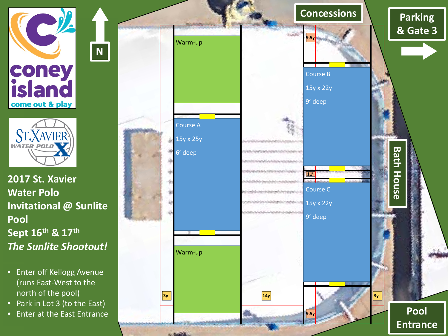

**N**



**2017 St. Xavier Water Polo Invitational @ Sunlite Pool Sept 16th & 17th** *The Sunlite Shootout!*

- Enter off Kellogg Avenue (runs East -West to the north of the pool)
- Park in Lot 3 (to the East)
- Enter at the East Entrance

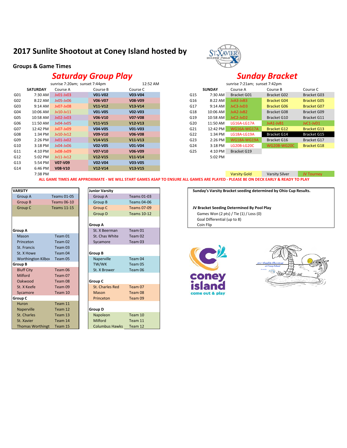### **2017 Sunlite Shootout at Coney Island hosted by**

#### **Groups & Game Times**

### *Saturday Group Play Sunday Bracket*

|     |                 | sunrise 7:20am; sunset 7:44pm |           | 12:52 AM  |     |               | sunrise 7:21am; sunset 7:42pm |                       |                    |
|-----|-----------------|-------------------------------|-----------|-----------|-----|---------------|-------------------------------|-----------------------|--------------------|
|     | <b>SATURDAY</b> | Course A                      | Course B  | Course C  |     | <b>SUNDAY</b> | Course A                      | Course B              | Course C           |
| G01 | 7:30 AM         | $Jv01-Jv03$                   | V01-V02   | V03-V04   | G15 | 7:30 AM       | <b>Bracket G01</b>            | Bracket G02           | <b>Bracket G03</b> |
| G02 | 8:22 AM         | $Jv05-Jv06$                   | V06-V07   | V08-V09   | G16 | 8:22 AM       | JvA3-JvB3                     | <b>Bracket G04</b>    | <b>Bracket G05</b> |
| G03 | 9:14 AM         | Jv07-Jv08                     | $V11-V12$ | $V13-V14$ | G17 | 9:14 AM       | JvC3-JvD3                     | <b>Bracket G06</b>    | <b>Bracket GO7</b> |
| G04 | 10:06 AM        | $Jv10-Jv11$                   | V01-V05   | V02-V03   | G18 | 10:06 AM      | JvA2-JvB2                     | <b>Bracket G08</b>    | <b>Bracket G09</b> |
| G05 | 10:58 AM        | $Jv02-Jv03$                   | V06-V10   | V07-V08   | G19 | 10:58 AM      | JvC2-JvD2                     | Bracket G10           | <b>Bracket G11</b> |
| G06 | 11:50 AM        | $Jv04-Jv05$                   | $V11-V15$ | $V12-V13$ | G20 | 11:50 AM      | LG16A-LG17A                   | JvA1-JvB1             | JvC1-JvD1          |
| G07 | 12:42 PM        | Jv07-Jv09                     | V04-V05   | V01-V03   | G21 | 12:42 PM      | <b>WG16A-WG17A</b>            | <b>Bracket G12</b>    | <b>Bracket G13</b> |
| G08 | 1:34 PM         | $Jv10-Jv12$                   | $V09-V10$ | V06-V08   | G22 | 1:34 PM       | <b>LG18A-LG19A</b>            | Bracket G14           | <b>Bracket G15</b> |
| G09 | 2:26 PM         | $Jv01-Jv02$                   | $V14-V15$ | $V11-V13$ | G23 | 2:26 PM       | <b>WG18A-WG19A</b>            | Bracket G16           | Bracket G17        |
| G10 | $3:18$ PM       | $Jv04-Jv06$                   | V02-V05   | V01-V04   | G24 | 3:18 PM       | LG20B-LG20C                   | <b>WG20B-WG20C</b>    | <b>Bracket G18</b> |
| G11 | 4:10 PM         | Jv08-Jv09                     | V07-V10   | V06-V09   | G25 | 4:10 PM       | Bracket G19                   |                       |                    |
| G12 | 5:02 PM         | $Jv11-Jv12$                   | $V12-V15$ | $V11-V14$ |     | 5:02 PM       |                               |                       |                    |
| G13 | 5:54 PM         | V07-V09                       | V02-V04   | V03-V05   |     |               |                               |                       |                    |
| G14 | 6:46 PM         | V08-V10                       | $V12-V14$ | $V13-V15$ |     |               |                               |                       |                    |
|     | 7:38 PM         |                               |           |           |     |               | Varsity Gold                  | <b>Varsity Silver</b> | <b>JV Tourney</b>  |



|    | sunrise 7:21am; sunset 7:42pm |                    |                    |                    |  |  |
|----|-------------------------------|--------------------|--------------------|--------------------|--|--|
|    | <b>SUNDAY</b>                 | Course A           | Course B           | Course C           |  |  |
| 15 | 7:30 AM                       | Bracket G01        | <b>Bracket G02</b> | <b>Bracket G03</b> |  |  |
| 16 | 8:22 AM                       | JvA3-JvB3          | Bracket G04        | <b>Bracket G05</b> |  |  |
| 17 | $9:14 \text{ AM}$             | $JvC3-JvD3$        | <b>Bracket G06</b> | <b>Bracket GO7</b> |  |  |
| 18 | $10:06$ AM                    | JvA2-JvB2          | Bracket G08        | Bracket G09        |  |  |
| 19 | 10:58 AM                      | $JvC2-JvD2$        | <b>Bracket G10</b> | <b>Bracket G11</b> |  |  |
| 20 | 11:50 AM                      | <b>LG16A-LG17A</b> | JvA1-JvB1          | $JvC1-JvD1$        |  |  |
| 21 | 12:42 PM                      | <b>WG16A-WG17A</b> | <b>Bracket G12</b> | <b>Bracket G13</b> |  |  |
| 22 | 1:34 PM                       | LG18A-LG19A        | <b>Bracket G14</b> | Bracket G15        |  |  |
| 23 | 2:26 PM                       | <b>WG18A-WG19A</b> | <b>Bracket G16</b> | Bracket G17        |  |  |
| 24 | $3:18$ PM                     | LG20B-LG20C        | <b>WG20B-WG20C</b> | <b>Bracket G18</b> |  |  |
| 25 | 4:10 PM                       | <b>Bracket G19</b> |                    |                    |  |  |
|    | 5:02 PM                       |                    |                    |                    |  |  |

Varsity Gold Varsity Silver JV Tourney **ALL GAME TIMES ARE APPROXIMATE - WE WILL START GAMES ASAP TO ENSURE ALL GAMES ARE PLAYED - PLEASE BE ON DECK EARLY & READY TO PLAY**

| <b>VARSITY</b>          |                    | <b>Junior Varsity</b> |                    |
|-------------------------|--------------------|-----------------------|--------------------|
| Group A                 | <b>Teams 01-05</b> | Group A               | <b>Teams 01-03</b> |
| Group B                 | <b>Teams 06-10</b> | Group B               | <b>Teams 04-06</b> |
| Group C                 | <b>Teams 11-15</b> | <b>Group C</b>        | <b>Teams 07-09</b> |
|                         |                    | Group D               | <b>Teams 10-12</b> |
|                         |                    |                       |                    |
|                         |                    | <b>Group A</b>        |                    |
| Group A                 |                    | St. X Beerman         | Team 01            |
| Mason                   | Team 01            | St. Chas White        | Team 02            |
| Princeton               | Team 02            | Sycamore              | Team 03            |
| St. Francis             | Team 03            |                       |                    |
| St. X Howe              | Team 04            | <b>Group B</b>        |                    |
| Worthington Kilbor      | Team 05            | Naperville            | Team 04            |
| Group B                 |                    | TW/WK                 | Team 05            |
| <b>Bluff City</b>       | Team 06            | St. X Brower          | Team 06            |
| Milford                 | Team 07            |                       |                    |
| Oakwood                 | Team 08            | Group C               |                    |
| St. X Keefe             | Team 09            | St. Charles Red       | Team 07            |
| Sycamore                | Team 10            | Mason                 | Team 08            |
| Group C                 |                    | Princeton             | Team 09            |
| Huron                   | Team 11            |                       |                    |
| Naperville              | Team 12            | <b>Group D</b>        |                    |
| St. Charles             | Team 13            | Napoleon              | Team 10            |
| St. Xavier              | Team 14            | Milford               | Team 11            |
| <b>Thomas Worthingt</b> | Team 15            | <b>Columbus Hawks</b> | Team 12            |

| <b>Junior Varsity</b> |                    |
|-----------------------|--------------------|
| Group A               | <b>Teams 01-03</b> |
| Group B               | <b>Teams 04-06</b> |
| Group C               | Teams 07-09        |
| Group D               | <b>Teams 10-12</b> |
|                       |                    |
| Group A               |                    |
| St. X Beerman         | Team 01            |
| St. Chas White        | Team 02            |
| Sycamore              | Team 03            |
|                       |                    |
| Group B               |                    |
| Naperville            | Team 04            |
| TW/WK                 | Team 05            |
| St. X Brower          | Team 06            |
|                       |                    |
| Group C               |                    |
| St. Charles Red       | Team 07            |
| Mason                 | Team 08            |
| Princeton             | Team 09            |
|                       |                    |
| Group D               |                    |
| Napoleon              | Team 10            |
| Milford               | Team 11            |
| Columbus Hawks        | $T2$ m 12          |

**VARSITY Junior Varsity Sunday's Varsity Bracket seeding determined by Ohio Cup Results.**

JV Bracket Seeding Determined By Pool Play Games Won (2 pts) / Tie (1) / Loss (0)

Goal Differential (up to 8) **Coin Flip** 



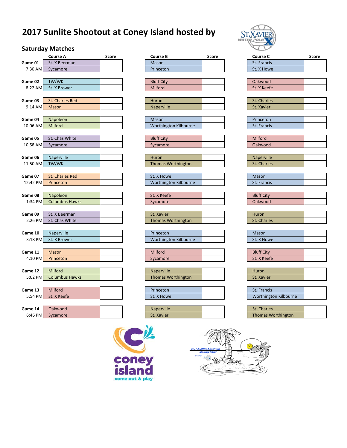## **2017 Sunlite Shootout at Coney Island hosted by**

### **Saturday Matches**

|                     | Course A                   | <b>Score</b> |
|---------------------|----------------------------|--------------|
| Game 01             | St. X Beerman              |              |
| 7:30 AM             | Sycamore                   |              |
|                     |                            |              |
| Game 02             | TW/WK                      |              |
| 8:22 AM             | St. X Brower               |              |
|                     |                            |              |
| Game 03             | <b>St. Charles Red</b>     |              |
| 9:14 AM             | Mason                      |              |
|                     |                            |              |
| Game 04<br>10:06 AM | Napoleon<br>Milford        |              |
|                     |                            |              |
| Game 05             | St. Chas White             |              |
| 10:58 AM            | Sycamore                   |              |
|                     |                            |              |
| Game 06             | Naperville                 |              |
| 11:50 AM            | TW/WK                      |              |
|                     |                            |              |
| Game 07             | <b>St. Charles Red</b>     |              |
| 12:42 PM            | Princeton                  |              |
|                     |                            |              |
| Game 08             | Napoleon                   |              |
| 1:34 PM             | <b>Columbus Hawks</b>      |              |
|                     |                            |              |
| Game 09             | St. X Beerman              |              |
| 2:26 PM             | St. Chas White             |              |
|                     |                            |              |
| Game 10<br>3:18 PM  | Naperville<br>St. X Brower |              |
|                     |                            |              |
| Game 11             | <b>Mason</b>               |              |
| 4:10 PM             | Princeton                  |              |
|                     |                            |              |
| Game 12             | Milford                    |              |
| 5:02 PM             | <b>Columbus Hawks</b>      |              |
|                     |                            |              |
| Game 13             | Milford                    |              |
| 5:54 PM             | St. X Keefe                |              |
|                     |                            |              |
| Game 14             | Oakwood                    |              |
| 6:46 PM             | Sycamore                   |              |
|                     |                            |              |

|           | <b>Course A</b>        | Score | <b>Course B</b>           | Score | <b>Course C</b>           | Score |
|-----------|------------------------|-------|---------------------------|-------|---------------------------|-------|
| Game 01   | St. X Beerman          |       | Mason                     |       | St. Francis               |       |
| 7:30 AM   | Sycamore               |       | Princeton                 |       | St. X Howe                |       |
|           |                        |       |                           |       |                           |       |
| Game 02   | TW/WK                  |       | <b>Bluff City</b>         |       | Oakwood                   |       |
| 8:22 AM   | St. X Brower           |       | Milford                   |       | St. X Keefe               |       |
|           |                        |       |                           |       |                           |       |
| Game 03   | <b>St. Charles Red</b> |       | Huron                     |       | St. Charles               |       |
| 9:14 AM   | Mason                  |       | Naperville                |       | St. Xavier                |       |
|           |                        |       |                           |       |                           |       |
| Game 04   | Napoleon               |       | Mason                     |       | Princeton                 |       |
| 10:06 AM  | Milford                |       | Worthington Kilbourne     |       | St. Francis               |       |
|           |                        |       |                           |       |                           |       |
| Game 05   | St. Chas White         |       | <b>Bluff City</b>         |       | Milford                   |       |
| 10:58 AM  | Sycamore               |       | Sycamore                  |       | Oakwood                   |       |
|           |                        |       |                           |       |                           |       |
| Game 06   | Naperville             |       | Huron                     |       | Naperville                |       |
| 11:50 AM  | TW/WK                  |       | <b>Thomas Worthington</b> |       | St. Charles               |       |
|           |                        |       |                           |       |                           |       |
| Game 07   | <b>St. Charles Red</b> |       | St. X Howe                |       | Mason                     |       |
| 12:42 PM  | Princeton              |       | Worthington Kilbourne     |       | St. Francis               |       |
|           |                        |       |                           |       |                           |       |
| Game 08   | Napoleon               |       | St. X Keefe               |       | <b>Bluff City</b>         |       |
| 1:34 PM   | <b>Columbus Hawks</b>  |       | Sycamore                  |       | Oakwood                   |       |
|           |                        |       |                           |       |                           |       |
| Game 09   | St. X Beerman          |       | St. Xavier                |       | Huron                     |       |
| $2:26$ PM | St. Chas White         |       | <b>Thomas Worthington</b> |       | St. Charles               |       |
|           |                        |       |                           |       |                           |       |
| Game 10   | Naperville             |       | Princeton                 |       | Mason                     |       |
| $3:18$ PM | St. X Brower           |       | Worthington Kilbourne     |       | St. X Howe                |       |
|           |                        |       |                           |       |                           |       |
| Game 11   | <b>Mason</b>           |       | Milford                   |       | <b>Bluff City</b>         |       |
| 4:10 PM   | Princeton              |       | Sycamore                  |       | St. X Keefe               |       |
|           |                        |       |                           |       |                           |       |
| Game 12   | Milford                |       | <b>Naperville</b>         |       | Huron                     |       |
| 5:02 PM   | <b>Columbus Hawks</b>  |       | <b>Thomas Worthington</b> |       | St. Xavier                |       |
|           |                        |       |                           |       |                           |       |
| Game 13   | <b>Milford</b>         |       | Princeton                 |       | St. Francis               |       |
| 5:54 PM   | St. X Keefe            |       | St. X Howe                |       | Worthington Kilbourne     |       |
|           |                        |       |                           |       |                           |       |
| Game 14   | Oakwood                |       | Naperville                |       | St. Charles               |       |
| $6:46$ PM | Sycamore               |       | St. Xavier                |       | <b>Thomas Worthington</b> |       |
|           |                        |       |                           |       |                           |       |







| St. Charles        |  |
|--------------------|--|
| St. Xavier         |  |
|                    |  |
| Princeton          |  |
| St. Francis        |  |
|                    |  |
| Milford            |  |
| Oakwood            |  |
|                    |  |
| Naperville         |  |
| <b>St. Charles</b> |  |
|                    |  |
| <b>Mason</b>       |  |
| St. Francis        |  |
|                    |  |
| <b>Bluff City</b>  |  |
| Oakwood            |  |
|                    |  |
| Huron              |  |
| <b>St. Charles</b> |  |
|                    |  |
| Mason              |  |
| St. X Howe         |  |
|                    |  |
| <b>Rluff City</b>  |  |

| St. X Keefe |  |
|-------------|--|
|             |  |
|             |  |

| <b>Huron</b> |  |
|--------------|--|
| St. Xavier   |  |

| St. Charles               |  |
|---------------------------|--|
| <b>Thomas Worthington</b> |  |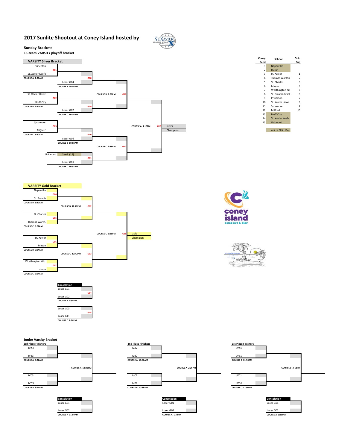#### **2017 Sunlite Shootout at Coney Island hosted by**







**COURSE C 3:18PM G18** 

| Coney<br>Seed  | School                             | Ohio<br>Cup    |
|----------------|------------------------------------|----------------|
| 1              | Naperville                         |                |
| 2              | Huron                              |                |
| 3              | St. Xavier                         | 1              |
| 4              | <b>Thomas Worthin</b>              | $\mathfrak{p}$ |
| 5              | St. Charles                        | 3              |
| ĥ              | Mason                              | $\Delta$       |
| $\overline{7}$ | Worthington Kill                   | 5              |
| 8              | St. Francis deSali                 | 6              |
| ٩              | Princeton                          | 7              |
| 10             | St. Xavier Howe                    | 8              |
| 11             | Sycamore                           | ٩              |
| 12             | Milford                            | 10             |
| 13             | <b>Bluff City</b>                  |                |
| 14             | St. Xavier Keefe                   |                |
| 15             | Oakwood                            |                |
|                |                                    |                |
|                | $\sim$ $\sim$ $\sim$ $\sim$ $\sim$ |                |







**VARSITY Gold Bracket** Naperville

St. Francis **COURSE B 8:22AM**

St. Charles

Maso **COURSE B 9:14AM**

Huron **COURSE C 9:14AM**

Thomas Worth. **COURSE C 8:22AM**

Worthington Kilb.

**G04**

**G05**

**G06**

**G07**

**Consolation** Loser G01

Loser G02 **COURSE B 1:34PM** Loser G03

Loser G11 **COURSE C 1:34PM**

**COURSE B 12:42PM G12**

**COURSE C 12:42PM G13**

St. Xavier Champion

**G14**

**G15**



**COURSE A 11:50AM COURSE A 1:34PM COURSE A 3:18PM**







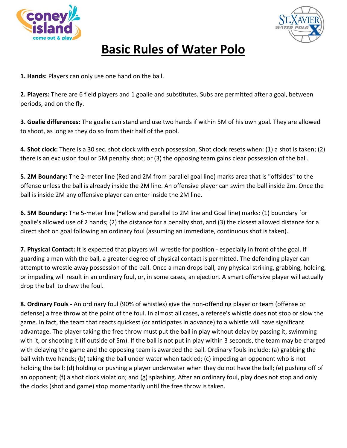



## **Basic Rules of Water Polo**

**1. Hands:** Players can only use one hand on the ball.

**2. Players:** There are 6 field players and 1 goalie and substitutes. Subs are permitted after a goal, between periods, and on the fly.

**3. Goalie differences:** The goalie can stand and use two hands if within 5M of his own goal. They are allowed to shoot, as long as they do so from their half of the pool.

**4. Shot clock:** There is a 30 sec. shot clock with each possession. Shot clock resets when: (1) a shot is taken; (2) there is an exclusion foul or 5M penalty shot; or (3) the opposing team gains clear possession of the ball.

**5. 2M Boundary:** The 2-meter line (Red and 2M from parallel goal line) marks area that is "offsides" to the offense unless the ball is already inside the 2M line. An offensive player can swim the ball inside 2m. Once the ball is inside 2M any offensive player can enter inside the 2M line.

**6. 5M Boundary:** The 5-meter line (Yellow and parallel to 2M line and Goal line) marks: (1) boundary for goalie's allowed use of 2 hands; (2) the distance for a penalty shot, and (3) the closest allowed distance for a direct shot on goal following an ordinary foul (assuming an immediate, continuous shot is taken).

**7. Physical Contact:** It is expected that players will wrestle for position - especially in front of the goal. If guarding a man with the ball, a greater degree of physical contact is permitted. The defending player can attempt to wrestle away possession of the ball. Once a man drops ball, any physical striking, grabbing, holding, or impeding will result in an ordinary foul, or, in some cases, an ejection. A smart offensive player will actually drop the ball to draw the foul.

**8. Ordinary Fouls** - An ordinary foul (90% of whistles) give the non-offending player or team (offense or defense) a free throw at the point of the foul. In almost all cases, a referee's whistle does not stop or slow the game. In fact, the team that reacts quickest (or anticipates in advance) to a whistle will have significant advantage. The player taking the free throw must put the ball in play without delay by passing it, swimming with it, or shooting it (if outside of 5m). If the ball is not put in play within 3 seconds, the team may be charged with delaying the game and the opposing team is awarded the ball. Ordinary fouls include: (a) grabbing the ball with two hands; (b) taking the ball under water when tackled; (c) impeding an opponent who is not holding the ball; (d) holding or pushing a player underwater when they do not have the ball; (e) pushing off of an opponent; (f) a shot clock violation; and (g) splashing. After an ordinary foul, play does not stop and only the clocks (shot and game) stop momentarily until the free throw is taken.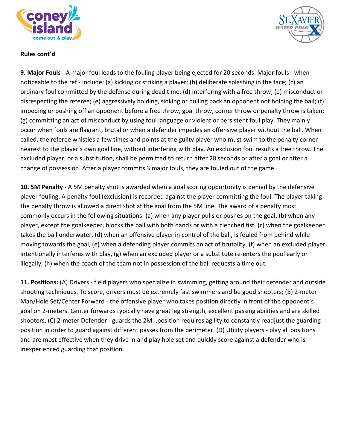



### **Rules cont'd**

**9. Major Fouls** - A major foul leads to the fouling player being ejected for 20 seconds. Major fouls - when noticeable to the ref - include: (a) kicking or striking a player; (b) deliberate splashing in the face; (c) an ordinary foul committed by the defense during dead time; (d) interfering with a free throw; (e) misconduct or disrespecting the referee; (e) aggressively holding, sinking or pulling back an opponent not holding the ball; (f) impeding or pushing off an opponent before a free throw, goal throw, corner throw or penalty throw is taken; (g) committing an act of misconduct by using foul language or violent or persistent foul play. They mainly occur when fouls are flagrant, brutal or when a defender impedes an offensive player without the ball. When called, the referee whistles a few times and points at the guilty player who must swim to the penalty corner nearest to the player's own goal line, without interfering with play. An exclusion foul results a free throw. The excluded player, or a substitution, shall be permitted to return after 20 seconds or after a goal or after a change of possession. After a player commits 3 major fouls, they are fouled out of the game.

**10. 5M Penalty** - A 5M penalty shot is awarded when a goal scoring opportunity is denied by the defensive player fouling. A penalty foul (exclusion) is recorded against the player committing the foul. The player taking the penalty throw is allowed a direct shot at the goal from the 5M line. The award of a penalty most commonly occurs in the following situations: (a) when any player pulls or pushes on the goal, (b) when any player, except the goalkeeper, blocks the ball with both hands or with a clenched fist, (c) when the goalkeeper takes the ball underwater, (d) when an offensive player in control of the ball, is fouled from behind while moving towards the goal, (e) when a defending player commits an act of brutality, (f) when an excluded player intentionally interferes with play, (g) when an excluded player or a substitute re-enters the pool early or illegally, (h) when the coach of the team not in possession of the ball requests a time out.

**11. Positions:** (A) Drivers - field players who specialize in swimming, getting around their defender and outside shooting techniques. To score, drivers must be extremely fast swimmers and be good shooters; (B) 2-meter Man/Hole Set/Center Forward - the offensive player who takes position directly in front of the opponent's goal on 2-meters. Center forwards typically have great leg strength, excellent passing abilities and are skilled shooters. (C) 2-meter Defender - guards the 2M...position requires agility to constantly readjust the guarding position in order to guard against different passes from the perimeter. (D) Utility players - play all positions and are most effective when they drive in and play hole set and quickly score against a defender who is inexperienced guarding that position.